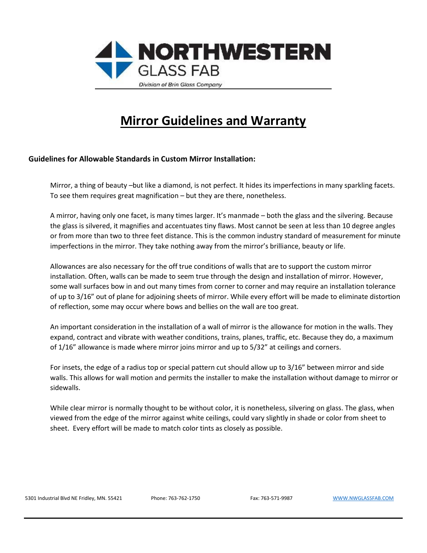

## **Mirror Guidelines and Warranty**

## **Guidelines for Allowable Standards in Custom Mirror Installation:**

Mirror, a thing of beauty –but like a diamond, is not perfect. It hides its imperfections in many sparkling facets. To see them requires great magnification – but they are there, nonetheless.

A mirror, having only one facet, is many times larger. It's manmade – both the glass and the silvering. Because the glass is silvered, it magnifies and accentuates tiny flaws. Most cannot be seen at less than 10 degree angles or from more than two to three feet distance. This is the common industry standard of measurement for minute imperfections in the mirror. They take nothing away from the mirror's brilliance, beauty or life.

Allowances are also necessary for the off true conditions of walls that are to support the custom mirror installation. Often, walls can be made to seem true through the design and installation of mirror. However, some wall surfaces bow in and out many times from corner to corner and may require an installation tolerance of up to 3/16" out of plane for adjoining sheets of mirror. While every effort will be made to eliminate distortion of reflection, some may occur where bows and bellies on the wall are too great.

An important consideration in the installation of a wall of mirror is the allowance for motion in the walls. They expand, contract and vibrate with weather conditions, trains, planes, traffic, etc. Because they do, a maximum of 1/16" allowance is made where mirror joins mirror and up to 5/32" at ceilings and corners.

For insets, the edge of a radius top or special pattern cut should allow up to 3/16" between mirror and side walls. This allows for wall motion and permits the installer to make the installation without damage to mirror or sidewalls.

While clear mirror is normally thought to be without color, it is nonetheless, silvering on glass. The glass, when viewed from the edge of the mirror against white ceilings, could vary slightly in shade or color from sheet to sheet. Every effort will be made to match color tints as closely as possible.